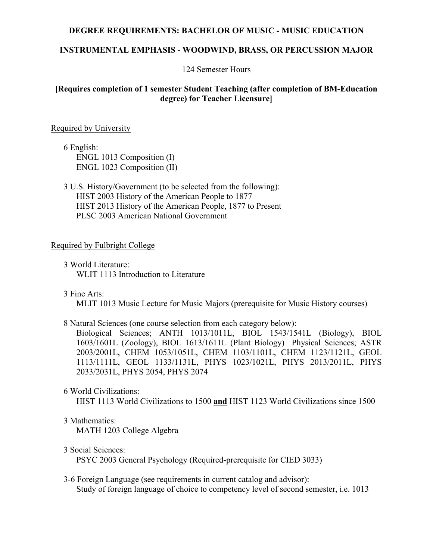#### **DEGREE REQUIREMENTS: BACHELOR OF MUSIC - MUSIC EDUCATION**

#### **INSTRUMENTAL EMPHASIS - WOODWIND, BRASS, OR PERCUSSION MAJOR**

124 Semester Hours

## **[Requires completion of 1 semester Student Teaching (after completion of BM-Education degree) for Teacher Licensure]**

#### Required by University

6 English: ENGL 1013 Composition (I) ENGL 1023 Composition (II)

3 U.S. History/Government (to be selected from the following): HIST 2003 History of the American People to 1877 HIST 2013 History of the American People, 1877 to Present PLSC 2003 American National Government

#### Required by Fulbright College

- 3 World Literature: WLIT 1113 Introduction to Literature
- 3 Fine Arts:

MLIT 1013 Music Lecture for Music Majors (prerequisite for Music History courses)

8 Natural Sciences (one course selection from each category below):

Biological Sciences; ANTH 1013/1011L, BIOL 1543/1541L (Biology), BIOL 1603/1601L (Zoology), BIOL 1613/1611L (Plant Biology) Physical Sciences; ASTR 2003/2001L, CHEM 1053/1051L, CHEM 1103/1101L, CHEM 1123/1121L, GEOL 1113/1111L, GEOL 1133/1131L, PHYS 1023/1021L, PHYS 2013/2011L, PHYS 2033/2031L, PHYS 2054, PHYS 2074

6 World Civilizations:

HIST 1113 World Civilizations to 1500 **and** HIST 1123 World Civilizations since 1500

3 Mathematics:

MATH 1203 College Algebra

3 Social Sciences:

PSYC 2003 General Psychology (Required-prerequisite for CIED 3033)

3-6 Foreign Language (see requirements in current catalog and advisor): Study of foreign language of choice to competency level of second semester, i.e. 1013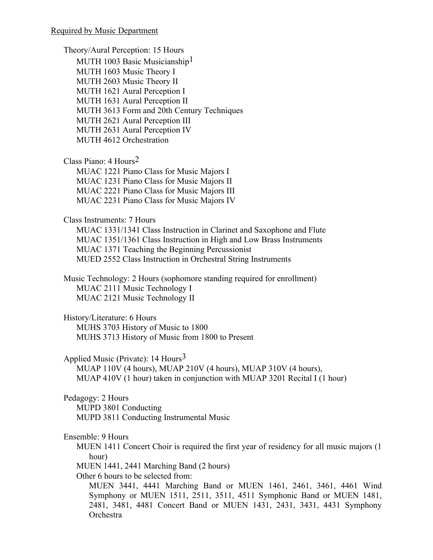Theory/Aural Perception: 15 Hours MUTH 1003 Basic Musicianship<sup>1</sup> MUTH 1603 Music Theory I MUTH 2603 Music Theory II MUTH 1621 Aural Perception I MUTH 1631 Aural Perception II MUTH 3613 Form and 20th Century Techniques MUTH 2621 Aural Perception III MUTH 2631 Aural Perception IV MUTH 4612 Orchestration Class Piano: 4 Hours2 MUAC 1221 Piano Class for Music Majors I MUAC 1231 Piano Class for Music Majors II MUAC 2221 Piano Class for Music Majors III MUAC 2231 Piano Class for Music Majors IV Class Instruments: 7 Hours MUAC 1331/1341 Class Instruction in Clarinet and Saxophone and Flute MUAC 1351/1361 Class Instruction in High and Low Brass Instruments MUAC 1371 Teaching the Beginning Percussionist MUED 2552 Class Instruction in Orchestral String Instruments Music Technology: 2 Hours (sophomore standing required for enrollment) MUAC 2111 Music Technology I MUAC 2121 Music Technology II History/Literature: 6 Hours MUHS 3703 History of Music to 1800 MUHS 3713 History of Music from 1800 to Present Applied Music (Private):  $14$  Hours<sup>3</sup> MUAP 110V (4 hours), MUAP 210V (4 hours), MUAP 310V (4 hours), MUAP 410V (1 hour) taken in conjunction with MUAP 3201 Recital I (1 hour) Pedagogy: 2 Hours MUPD 3801 Conducting MUPD 3811 Conducting Instrumental Music Ensemble: 9 Hours MUEN 1411 Concert Choir is required the first year of residency for all music majors (1 hour) MUEN 1441, 2441 Marching Band (2 hours) Other 6 hours to be selected from: MUEN 3441, 4441 Marching Band or MUEN 1461, 2461, 3461, 4461 Wind Symphony or MUEN 1511, 2511, 3511, 4511 Symphonic Band or MUEN 1481, 2481, 3481, 4481 Concert Band or MUEN 1431, 2431, 3431, 4431 Symphony **Orchestra**